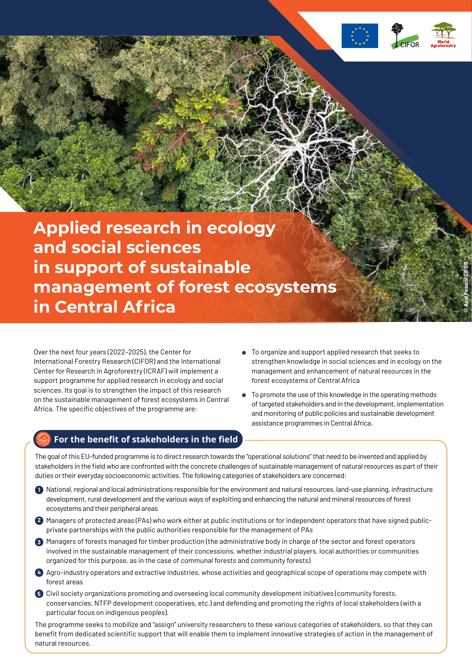

**© Axel Fassio/CIFOR**

**Applied research in ecology and social sciences in support of sustainable management of forest ecosystems in Central Africa**

Over the next four years (2022–2025), the Center for International Forestry Research (CIFOR) and the International Center for Research in Agroforestry (ICRAF) will implement a support programme for applied research in ecology and social sciences. Its goal is to strengthen the impact of this research on the sustainable management of forest ecosystems in Central Africa. The specific objectives of the programme are:

- To organize and support applied research that seeks to strengthen knowledge in social sciences and in ecology on the management and enhancement of natural resources in the forest ecosystems of Central Africa
- To promote the use of this knowledge in the operating methods of targeted stakeholders and in the development, implementation and monitoring of public policies and sustainable development assistance programmes in Central Africa.

# **For the benefit of stakeholders in the field**

The goal of this EU-funded programme is to direct research towards the "operational solutions" that need to be invented and applied by stakeholders in the field who are confronted with the concrete challenges of sustainable management of natural resources as part of their duties or their everyday socioeconomic activities. The following categories of stakeholders are concerned:

- National, regional and local administrations responsible for the environment and natural resources, land-use planning, infrastructure **1** development, rural development and the various ways of exploiting and enhancing the natural and mineral resources of forest ecosystems and their peripheral areas
- Managers of protected areas (PAs) who work either at public institutions or for independent operators that have signed public-**2** private partnerships with the public authorities responsible for the management of PAs
- Managers of forests managed for timber production (the administrative body in charge of the sector and forest operators **3** involved in the sustainable management of their concessions, whether industrial players, local authorities or communities organized for this purpose, as in the case of communal forests and community forests)
- Agro-industry operators and extractive industries, whose activities and geographical scope of operations may compete with **4** forest areas
- Civil society organizations promoting and overseeing local community development initiatives (community forests, **5** conservancies, NTFP development cooperatives, etc.) and defending and promoting the rights of local stakeholders (with a particular focus on indigenous peoples).

The programme seeks to mobilize and "assign" university researchers to these various categories of stakeholders, so that they can benefit from dedicated scientific support that will enable them to implement innovative strategies of action in the management of natural resources.